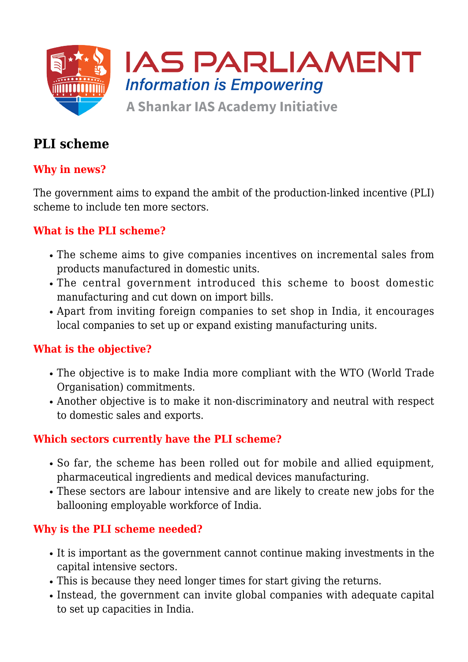

# **PLI scheme**

# **Why in news?**

The government aims to expand the ambit of the production-linked incentive (PLI) scheme to include ten more sectors.

## **What is the PLI scheme?**

- The scheme aims to give companies incentives on incremental sales from products manufactured in domestic units.
- The central government introduced this scheme to boost domestic manufacturing and cut down on import bills.
- Apart from inviting foreign companies to set shop in India, it encourages local companies to set up or expand existing manufacturing units.

## **What is the objective?**

- The objective is to make India more compliant with the WTO (World Trade Organisation) commitments.
- Another objective is to make it non-discriminatory and neutral with respect to domestic sales and exports.

#### **Which sectors currently have the PLI scheme?**

- So far, the scheme has been rolled out for mobile and allied equipment, pharmaceutical ingredients and medical devices manufacturing.
- These sectors are labour intensive and are likely to create new jobs for the ballooning employable workforce of India.

#### **Why is the PLI scheme needed?**

- It is important as the government cannot continue making investments in the capital intensive sectors.
- This is because they need longer times for start giving the returns.
- Instead, the government can invite global companies with adequate capital to set up capacities in India.